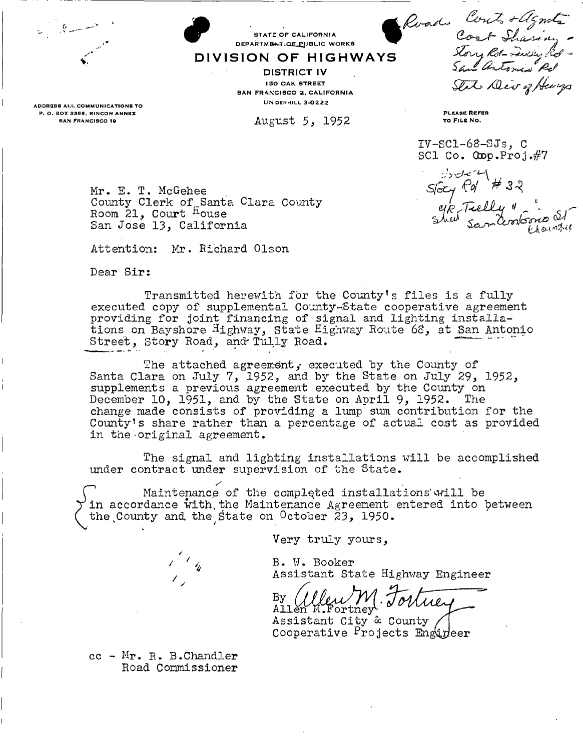STATE OF CALIFORNIA BEPARTMENT-OF CALIFORNIA DIVISION OF HIGHWAYS Road Cont + Agnote -<br>Cont Shasing -<br>San Antonis Rol -State Div of Henrys

ADDRESS ALL COMMUNICATIONS TO P. O. BOX 3366, RINCON ANNEX SAN FRANCISCO 19

PLEASE REFER TO FILE NO.

IV-SC1-63-SJs, C SCl Co.  $\text{Gop.Froj.#7}$ 

Mr. E. T. McGehee County Clerk of Santa Clara County Room  $21$ , Court  $^{H}$ ouse San Jose *13,* California

Attention: Mr. Richard Olson

Dear Sir:

Transmitted herewith for the County<sup>1</sup>s files is a fully executed copy of supplemental County-State cooperative agreement providing for joint financing of signal and lighting installations on Bayshore Highway, state Highway Route 63, at San Antonio Street, Story Road, and Tully Road.

STATE OF CALIFORNIA DEPARTMENT.QE\_PUBLIC WORKS

**DISTRICT IV 150 OAK STREET** SAN FRANCISCO 2, CALIFORNIA UN DERHILL 3-0222

August 5, 1952

The attached agreement, executed by the County of Santa Clara on July 7, 1952, and by the State on July 29, 1952, supplements a previous agreement executed by the County on December 10, 1951, and by the State on April 9, 1952. The change made consists of providing a Imp sum contribution for the County<sup>1</sup> s share rather than a percentage of actual cost as provided in the original agreement.

The signal and lighting installations will be accomplished under contract under supervision of the State.

^ Maintenance of the completed installations'will be in accordance with the Maintenance Agreement entered into between the County and the State on October 23, 1950.

Very truly yours,

B. W. Booker Assistant State Highway Engineer

 $\begin{array}{c} \text{By} \\ \text{Allen} \end{array}$ Cleum Fortney

Assistant City & County Cooperative Projects Engineer

cc - Mr. R. B.Chandler Road Commissioner

/

*trober* # 32<br>Story Pd # 32<br>Shed Sandonkone St  $\mathbb{C}$  yield  $\mathbb{Z}$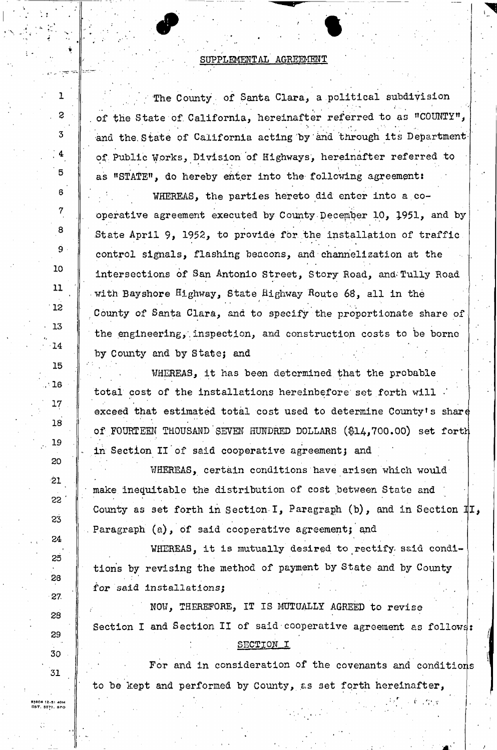#### SUPPLEMENTAL AGREEMENT

 $\mathcal{L}^{\mathcal{L}}$   $\mathcal{L}^{\mathcal{L}}$   $\mathcal{L}^{\mathcal{L}}$   $\mathcal{L}^{\mathcal{L}}$   $\mathcal{L}^{\mathcal{L}}$   $\mathcal{L}^{\mathcal{L}}$   $\mathcal{L}^{\mathcal{L}}$   $\mathcal{L}^{\mathcal{L}}$   $\mathcal{L}^{\mathcal{L}}$   $\mathcal{L}^{\mathcal{L}}$   $\mathcal{L}^{\mathcal{L}}$   $\mathcal{L}^{\mathcal{L}}$   $\mathcal{L}^{\mathcal{L}}$   $\mathcal{L}^{\mathcal{L$ 

The County of Santa Clara, a political subdivision of the State of California, hereinafter referred to as "COUNTY", and the State of California acting by and through its Department of. Public Works, Division of Highways, hereinafter referred to as "STATE", do hereby enter into the following agreement:

WHEREAS, the parties hereto did enter into a cooperative agreement executed by County December 10, 1951, and by State April 9, 1952, to provide for the installation of traffic control signals, flashing beacons, and channelization at the intersections of San Antonio Street, Story Road, and'Tully Road with Bay shore Highway, State Highway Route 68, all in the \* . \* County of Santa Clara, and to specify the proportionate share of the engineering, inspection, and construction costs to be borne by County and by State; and

WHEREAS, it has been determined that the probable total cost of the Installations hereinbefore set forth will exceed that estimated total cost used to determine County's share of FOURTEEN THOUSAND SEVEN HUNDRED DOLLARS (\$14,700.00) set forth in Section II of said cooperative agreement; and

WHEREAS, certain conditions have arisen which would make inequitable the distribution of cost between State and ' County as set forth in Section I, Paragraph (b), and in Section  $\mathbb{I}$ . Paragraph (a), of said cooperative agreement; and

WHEREAS, it is mutually desired to rectify said condi**tions by revising the method of payment by State and by County**  for **said installations;** 

NOW, THEREFORE, IT IS MUTUALLY AGREED to revise Section I and Section II of said cooperative agreement as follows: SECTION I

. For and in consideration of the covenants and conditions to be kept and performed by County, as set forth hereinafter,

83808 12-51 40M<br>BBT, 8577, 8PO

1

. 2

**3** 

; 4

**5** 

6

**7** 

**8** 

**9** 

**10** 

**11** 

**12** 

**• 13** 

**• 14** 

**15** 

**' V 16** 

**" 17** 

18

**.. 19** 

20

**21** 

 $52$ 

**23** 

24

**25** 

28

**27.** 

28

**29** 

**30** 

**31**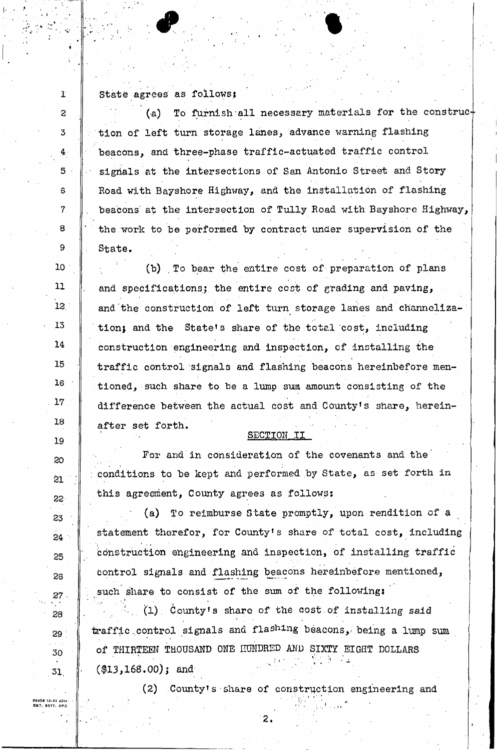1 State agrees as follows:

t

2

**3** 

**4** 

**5** 

6

**7** 

8

**9** 

**10** 

11

**12.** 

**13** 

**14** 

**15** 

**16** 

**17** 

**18** 

**19** 

**20** 

**21** 

22

**23** 

**24** 

**25** 

26

*27* 

28

**29** 

**30** 

**31** 

•31 40M 7, BPC

(a) To furnish all necessary materials for the construc $+$ tion of left turn storage lanes, advance warning flashing beacons, ana three-phase traffic-actuated traffic control signals at the intersections of San Antonio Street and Story Road with Bayshore Highway, and the installation of flashing beacons at the intersection of Tully Road with Bayshore Highway, the work to be performed by contract under supervision of the State,

(b) To bear the entire cost of preparation of plans and specifications; the entire cost of grading and paving, and'the construction of left turn storage lanes and channelization; and the State's share of the total cost, including construction engineering and inspection, of installing the traffic control signals and flashing beacons hereinbefore mentioned, such share to be a lump sum amount consisting of the difference between the actual cost and County's share, hereinafter set forth.

SECTION II

For and in consideration of the covenants and the conditions to be kept and performed by State, as set forth in this agreement, County agrees as follows:

(a) To reimburse State promptly, upon rendition of a statement therefor, for County's share of total cost, including construction engineering and inspection, of installing traffic control signals and flashing beacons hereinbefore mentioned, such share to consist of the sum of the following:

 $(1)$  County's share of the cost of installing said traffic control signals and flashing beacons, being a lump sum of THIRTEEN THOUSAND ONE FUNDRED AND SIXTY EIGHT DOLLARS of Thirteen Thousand  $\mathcal{L}$  Third  $\mathcal{L}$  and  $\mathcal{L}$  and  $\mathcal{L}$  and  $\mathcal{L}$  and  $\mathcal{L}$ 

 $\overline{2}$ 

 $(68, 6)$ (2) .County's share of construction engineering and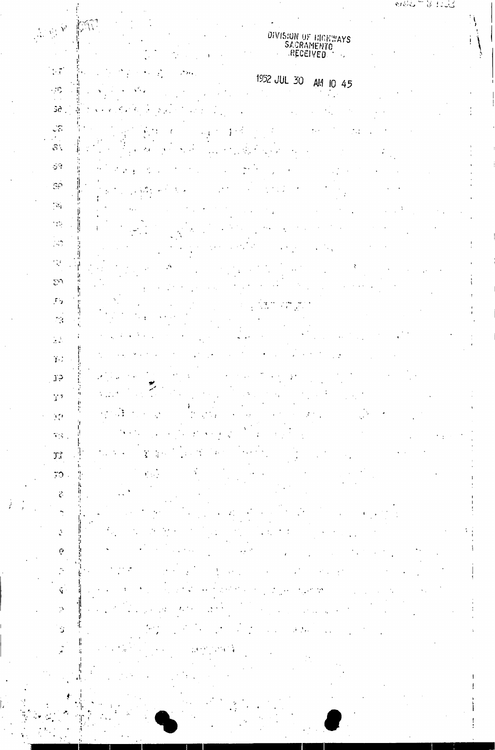# DIVISION OF HIGHWAYS<br>SACRAMENTO<br>RECEIVED

ANY PRI

 $\sim 7$ 

 $\overline{a}$ 

 $\ddot{\mathcal{C}}$ 

 $\tilde{\mathcal{L}}$ 

### 1952 JUL 30 AM 10 45

 $\sim$ ÷ Gé, Ŵ

 $\frac{1}{2}$ ł 1  $\mathbf{I}$  $\mathbb{S}$  .

 $\phi^{\alpha}$  $SP$ 

 $\mathcal{A}_1$ Ä  $\frac{1}{2}$ 

 $\langle \cdot, \cdot \rangle$ 

 $\mathbb{Q}$  $\mathbb{S}^n$ 

 $\Gamma_{\rm D}$  $\frac{1}{2} \frac{1}{2} \frac{1}{2}$  $\mathcal{F}^{\text{max}}_k$  $\mathbb{R}^2$  $\ddot{\cdot}$ 

 $\mathcal{L}_{\mathcal{A}}$ Î.  $\frac{1}{2}$  $\mathbf{Y}^{\mathcal{A}}$ 

 $J<sup>5</sup>$  $\cdot$ 

 $\frac{1}{2}$  $\mathbf{T}^{\star}$  $\frac{1}{2}$  $\frac{1}{2}$  $\mathcal{D}^{\bullet}$  $\overline{V}(\overline{S})$  .

 $\tilde{\chi}$ Ĵ,  $\mathfrak{I}^+_\alpha$  $\mathbf{r}$  $\mathcal{D}$ 

łt

 $\mathcal{L}$  $\phi$ 

 $\tilde{\mathcal{C}}$ ł.  $\hat{\mathbf{y}}$ 

 $\mathbb{R}^{\mathbb{N}}$ ľ Ť, Š,

ľ,  $\mathbf{r}$ Ĥ.

،۱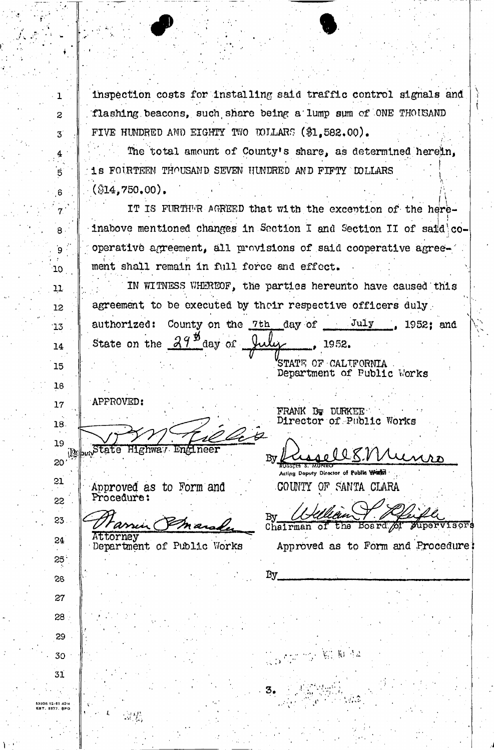inspection costs for installing said traffic control signals and flashing beacons, such share being a lump sum of ONE THOUSAND FIVE HUNDRED AND EIGHTY TWO TOILARS (\$1,582.00).

The total amount of County's share, as determined herein, 1s FOURTEEN THOUSAND SEVEN HUNDRED AND FIFTY COLLARS  $(\$14,750,00)$ .

IT IS FURTHER AGREED that with the excention of the hereinabove mentioned changes in Saction I and Section II of said cooperative agreement, all provisions of said cooperative agreement shall remain in full force and effect.

IN WITNESS WHEREOF, the parties hereunto have caused this agreement to be executed by their respective officers duly County on the  $7th$  day of  $July$ , 1952; and authorized:  $29$   $\frac{\cancel{0}}{2}$ State on the day of 1952. STATE OF CALIFORNIA

Department of Public Works

APPROVED:

"State

18. 19  $|D\!\Omega|$ 

 $\mathbf{1}$ 

 $\overline{c}$ 

 $\mathbf{3}^{\mathsf{c}}$ 

 $\overrightarrow{5}$ 

 $6 \cdot$ 

 $\overline{7}$ 

 $\overline{\mathbf{8}}$ .

 $\mathbf{g}$ 

10

11

12

 $13$ 

14

15

16

 $17$ 

21

**SS** 

23.

 $24$ 

 $25^{\circ}$ 

26

27

 $28 -$ 

29

30

31

1806 12-81 40M<br>87. 5577. BPO

 $20<sup>1</sup>$ 

Approved as to Form and Procedure:

로봇

הפי ודי Attorney

Highway Engineer

Department of Public Works

FRANK By DURKEE Director of Public Works

By

y Director of Public World? COUNTY OF SANTA CLARA

差: 值 45

Bv Board of *Aupervisors* the Chairman of

Approved as to Form and Procedure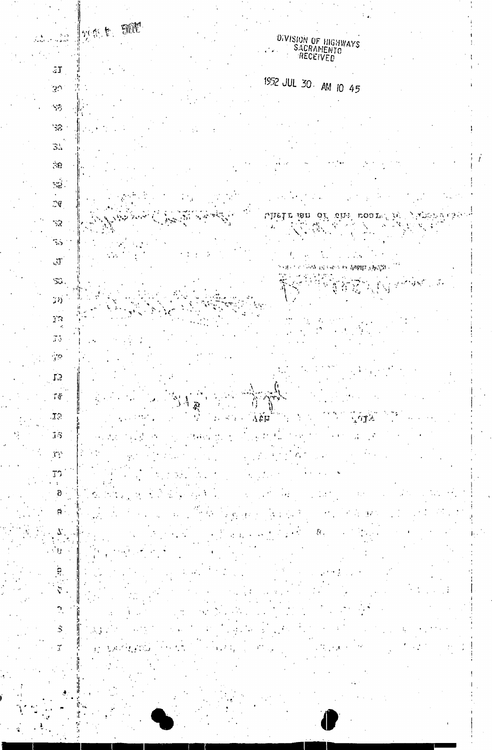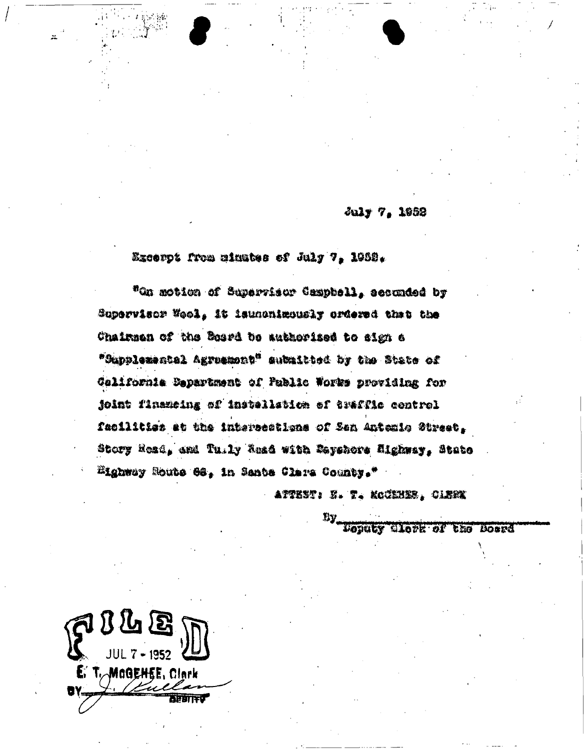July 7. 1952

Excerpt from minutes of July 7, 1989.

"On motion of Separrisor Campbell, seconded by Supervisor Wool, it isunonimously ordered that the Chairman of the Board be authorized to sign a "Supplemental Agruemont" submitted by the State of California Department of Puelic Works providing for joint finameing of installation of traffle control facilities at the intersections of Sen Antemio Street, Story Read, and Tu.ly Read with Reyshors Mighway, State Highway Soute 68, in Santa Clara County."

ATTEST : F. T. KOUSHER, OLBEK

**LOUGLY CLOSK OF** 

the **Norre** 

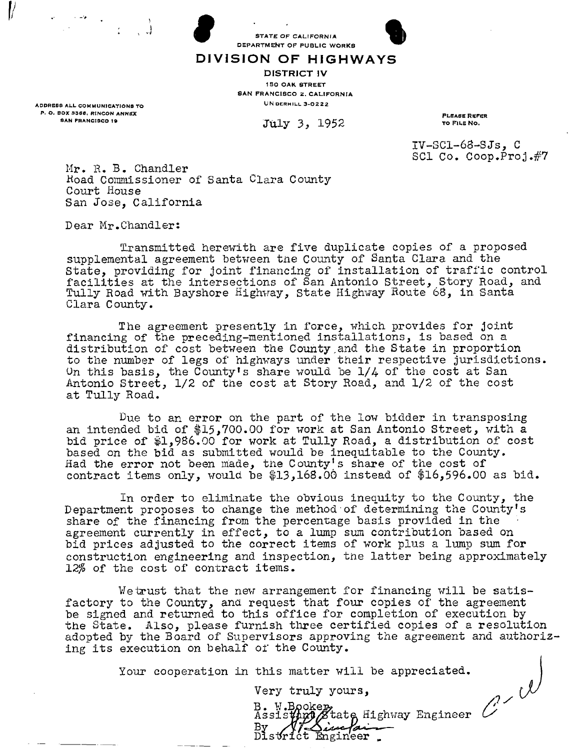



DIVISION OF HIGHWAYS

DISTRICT IV 150 OAK STREET **SAN FRANCISCO 2, CALIFORNIA UN DERHILL 3-0222** 

July 3, 1952

PLEASE REFER TO FILE NO.

IV-SCl-63-SJs, C SCI Co. Coop.  $Proof. #7$ 

Mr. R. B. Chandler Koad Commissioner of Santa Clara County Court House San Jose, California

Dear Mr.Chandler:

ADDRESS ALL COMMUNICATIONS TO P. O. BOX 3368, RINCON ANNEX SAN FRANCISCO 19

 $\mathcal V$ 

Transmitted herewith are five duplicate copies of a proposed supplemental agreement between the County of Santa Clara and the State, providing for joint financing of installation of traffic control facilities at the intersections of San Antonio Street, Story Road, and Tully Road with Bayshore Highway, State Highway Route 68, in Santa Clara County.

The agreement presently in force, which provides for joint financing of the preceding-mentioned installations, is based on a distribution of cost between the County,and the State in proportion to the number of legs of highways under their respective jurisdictions. Un this basis, the County's share would be 1/4 of the cost at San Antonio Street, 1/2 of the cost at Story Road, and 1/2 of the cost at Tully Road.

Due to an error on the part of the low bidder in transposing an intended bid of \$15,700.00 for work at San Antonio Street, with a bid price of \$1,986.00 for work at Tully Road, a distribution of cost based on the bid as submitted would be inequitable to the County. Had the error not been made, the County's share of the cost of contract items only, would be \$13,168.00 instead of \$16,596.00 as bid.

In order to eliminate the obvious inequity to the County, the Department proposes to change the method of determining the County's share of the financing from the percentage basis provided in the agreement currently in effect, to a lump sum contribution based on bid prices adjusted to the correct items of work plus a lump sum for construction engineering and inspection, the latter being approximately *12%* of the cost of contract items.

We trust that the new arrangement for financing will be satisfactory to the County, and request that four copies of the agreement be signed and returned to this office for completion of execution by the State. Also, please furnish three certified copies of a resolution adopted by the Board of Supervisors approving the agreement and authorizing its execution on behalf or the County.

Your cooperation in this matter will be appreciated.

Very truly yours,

B. W.Bookep,<br>Assist**hup / E**tate Highway Engineer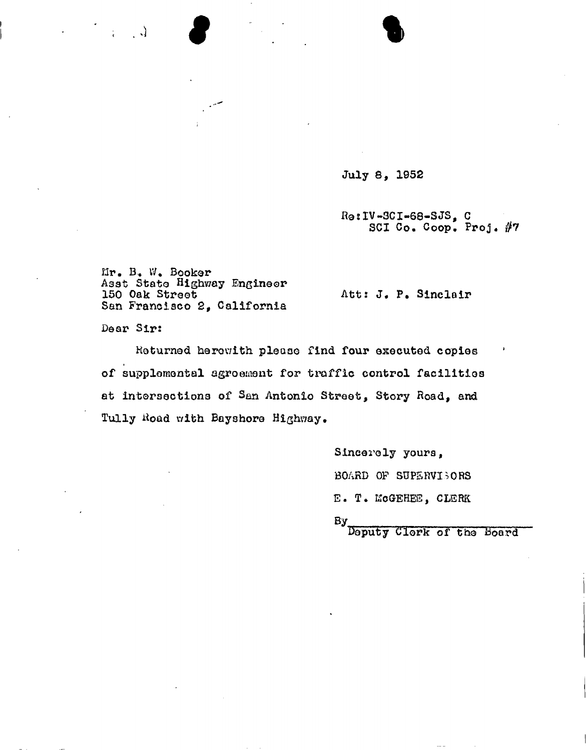July 8, 1952

 $\bullet$ 

Ho sIV-3CI-68-SJS , C SCI Co. Coop. Proj. #7

Mr. B.« IV. Booker Asst State Highway Engineer<br>150 Oak Street San Francisco 2, California

Att: J. P. Sinclair

Dear Sir:

 $\mathbb{R}^n \times \mathbb{R}^n$ 

Returned herewith please find four executed copies of supplemental agroewent for traffic control facilities at intersections of San Antonio Street, Story Road, and Tully Road with Bayshore Highway.

> Sincerely yours, BOARD OF SUPERVISORS E. T. EScGEHEE, CLERK  $\mathsf{By}_{\scriptscriptstyle\perp\hspace{-1pt}-}$

deputy Clork of the board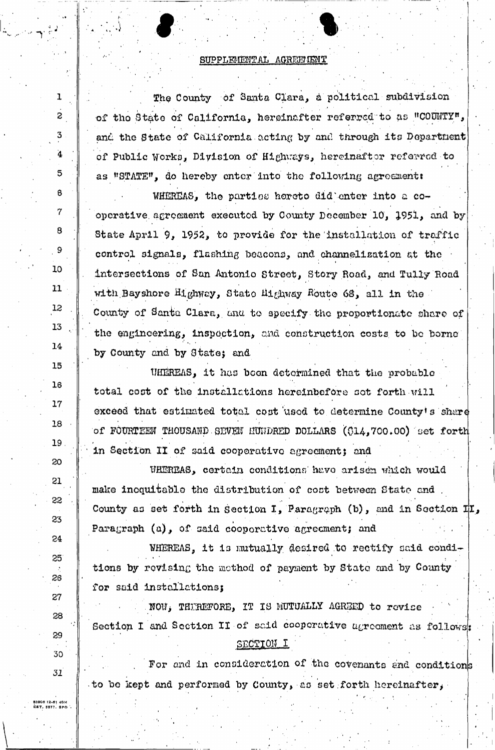#### SUPPLEMENTAL AGREEMENT

The County of Santa Clara, a political subdivision of the State of California, hereinafter referred to as "COUNTY", and the State of California acting by and through its Department of Public Works, Division of Highways, hereinafter referred to as "STATE", do hereby enter into the following agreement:

WHEREAS, the parties hereto did enter into a cooperative agreement executed by County December 10, 1951, and by State April 9, 1952, to provide for the installation of traffic control signals, flashing beacons, and channelization at the intersections of San Antonio Street, Story Road, and Tully Road with Bayshore Highway, State Highway Route 68, all in the County of Santa Clara, and to specify the proportionate share of the engineering, inspection, and construction costs to be borne by County and by State; and

UHEREAS, it has been determined that the probable total cost of the installations hereinbefore sot forth will exceed that estimated total cost used to determine County's share of FOURTEEN THOUSAND SEVEN HUNDRED DOLLARS (014,700.00) set forth in Section II of said cooperative agreement; and

WHEREAS, certain conditions have arisen which would make incquitable the distribution of cost between State and County as set forth in Section I, Paragraph (b), and in Section II, Paragraph (a), of said cooperctive agreement; and

WHEREAS, it is mutually desired to rectify said conditions by revising the method of payment by State and by County for said installations;

NOW, THIREFORE, IT IS MUTUALLY AGREED to revise Section I and Section II of said cooperative agreement as follows: SECTION I

For and in consideration of the covenants and conditions to be kept and performed by County, as set forth hereinafter,

83808 12-81 40M<br>EST, 5577, SPO

ı

 $\overline{c}$ 

3

4

5

6

 $\overline{7}$ 

8

 $\mathbf{9}$ 

10

11

12

13

14

15

16

 $17$ 

18

19

20

21

55

23

24

 $25<sup>°</sup>$ 

26

27

28

29

30

 $31$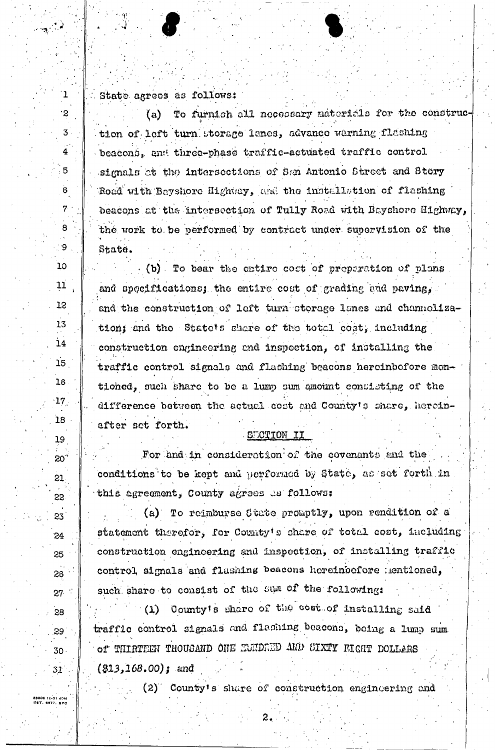State agrees as follows:

 $\mathbf{1}$ 

 $\cdot$ 2

 $3^{\circ}$ 

 $\overline{\mathbf{4}}$ 

 $5^{\circ}$ 

 $\mathbf{6}$ 

 $7<sup>°</sup>$ 

8

-9

 $10$ 

 $11$ 

12

13

 $14$ 

15

16

 $17<sub>1</sub>$ 

18

19

 $20^{\degree}$ 

 $21$ 

55

23

24

25

26

 $27 -$ 

28

.29`

 $30.$ 

 $31^{\circ}$ 

To furnish all necessary materials for the construc-(a) tion of left turn storage lanes, advance warning flashing beacons, and three-phase traffic-actuated traffic control signals ot the intersections of San Antonio Street and Story Road with Bayshore Highway, and the installation of flashing beacons at the intersection of Tully Road with Bayshore Highway, the work to be performed by contract under supervision of the State.

(b) To bear the entire cost of preparation of plans and spocifications; the entire cost of grading and paving, and the construction of left turn storage lanes and channolization; and the State's share of the total cost, including construction engineering and inspection, of installing the traffic control signals and flashing beacons hereinbefore montioned, such share to be a lump sum amount consisting of the difference between the actual cost and County's share, hereinafter set forth.

SECTION II

For and in consideration of the covenants and the conditions to be kept and performed by State, as set forth in this agreement, County agrees as follows:

(a) To reimburse State promptly, upon rendition of a statement therefor, for County's share of total cost, including construction engineering and inspection, of installing traffic control, signals and flashing beacons hereinbefore mentioned, such share to consist of the sum of the following:

(1) County's share of the cost of installing said traffic control signals and flashing becoons, being a lump sum of THIRTEEN THOUSAND ONE EUNDRED AND SIXTY FIGHT DOLLARS  $(313, 168, 00)$ ; and

(2) County's share of construction engineering and

53806 12-51 40M<br>EST. 5577. SPO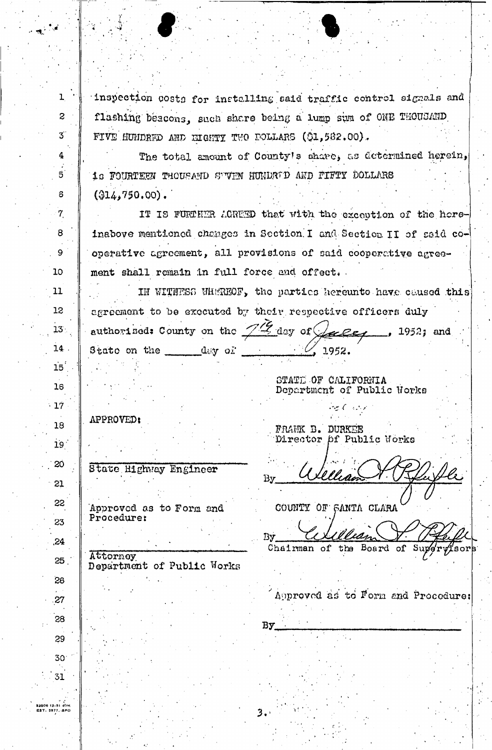inspection costs for installing said traffic control signals and flashing beacons, such share being a lump sum of ONE THOUSAND FIVE HUNDRED AND EIGHTY TWO DOLLARS (\$1,582.00).

The total amount of County's share, as determined herein, 16 FOURTEEN THOUSAND SUVEN HUNDRED AND FIFTY DOLLARS  $(314, 750, 00)$ .

IT IS FURTHER AGREED that with the exception of the horeinabove mentioned changes in Section I and Section II of said cooperative agreement, all provisions of said cooperative agreement shall remain in full force and offect.

IN WITNESS WHEREOF, the partics hereunto have caused this agreement to be executed by their respective officers duly

authorized: County on the 712 day of Gaces State on the  $\,$   $\rm{d}$   $\rm{d}$   $\rm{d}$   $\rm{d}$   $\rm{d}$ 

STATE OF CALIFORNIA Department of Public Works

せんいと

1952.

1952; and

### APPROVED:

Attorney

 $\mathbf{1}$ 

 $\overline{2}$ 

 $\overline{\mathbf{3}}$ 

4

 $\overline{5}$ 

 $\overline{a}$ 

 $\overline{7}$ 

 $\mathbf{8}$ 

9

10

11

12

13

 $14$ 

15

16

 $.17$ 

18

 $19<sup>1</sup>$ 

20

21

22

23

 $,24$ 

 $25<sub>1</sub>$ 

26

.27

28

29

 $30<sup>°</sup>$ 

31

State Highway Engineer

Approved as to Form and Proceduret

FRANK D. DURKEE Director pf Public Works

By

COUNTY OF SANTA CLARA

By  $\bm{\phi}$ r $\bm{\psi}$ ʻsor $\bm{\models}$ Chairman of the Board of Sup

Department of Public Works

Bу

3.

Approved as to Form and Procedure: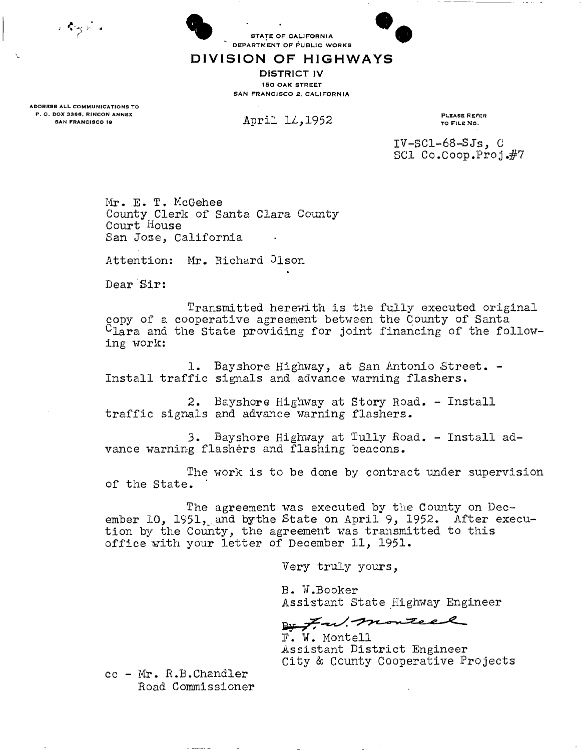र दिलुआँच

**STATE OF CALIFORNIA** DEPARTMENT OF PUBLIC WORKS



DIVISION OF HIGHWAYS

**DISTRICT IV ISO OAK STREET** SAN FRANCISCO 2, CALIFORNIA

ADDRESS ALL COMMUNICATIONS TO P. O. BOX 3366, RINCON ANNEX **TOCOL AND ALL ACTION** TO CONTROL TO PLEASE REFER

SAN FRANCISCO 19 **APPLI**  $14, 1952$  TO FILE NO.

IV-SC1-68-SJs, C SCI Co.Coop.Proj .#7

Mr. E. T. McGehee County Clerk of Santa Clara County Court House San Jose, California

Attention: Mr. Richard Olson

Dear Sir:

Transmitted herewith is the fully executed original copy of a cooperative agreement between the County of Santa  $C<sub>lara</sub>$  and the State providing for joint financing of the following work:

1. Bayshore Highway, at San Antonio Street. - Install traffic signals and advance warning flashers.

2. Bayshore Highway at Story Road. - Install traffic signals and advance warning flashers.

3. Bayshore Highway at Tully Road. - Install advance warning flashers and flashing beacons.

The work is to be done by contract under supervision of the State.

The agreement was executed by the County on December 10, 1951, and bythe State on April 9, 1952. After execution by the County, the agreement was transmitted to this office with your letter of December 11, 1951.

Very truly yours,

B. W.Booker Assistant State Highway Engineer

24 F.W. monteel

F. W. Mont ell Assistant District Engineer City & County Cooperative Projects

cc - Mr. R.B.Chandler Road Commissioner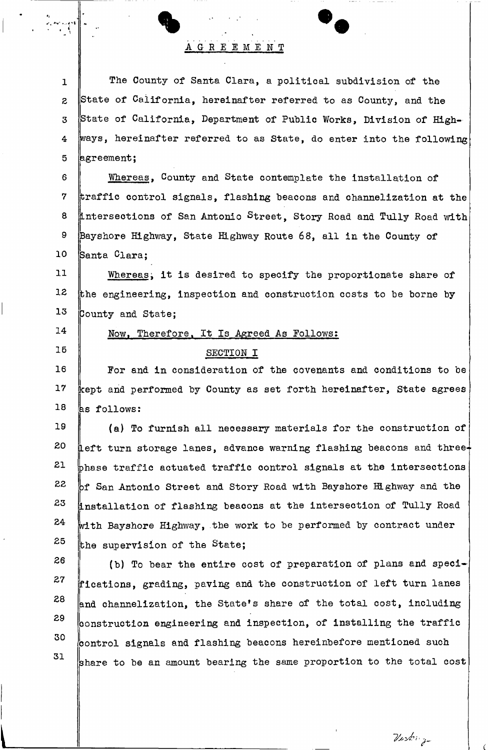## AGREEMEN T

1 **2 3 4 5**  The County of Santa Clara, a political subdivision of the State of California, hereinafter referred to as County, and the State of California, Department of Public Works, Division of Highways, hereinafter referred to as State, do enter into the following agreement;

6 **7 8 9 10**  Whereas, County and State contemplate the installation of traffic control signals, flashing beacons and channelization at the Intersections of San Antonio **Street,** Story Road and Tully Road with Bayshore Highway, State Highway Route 68, all in the County of Santa Clara;

**11 12 13**  Whereas; it is desired to specify the proportionate share of the engineering, inspection and construction costs to be borne by County and State;

**14** 

**15** 

### Now, Therefore. It Is Agreed As Follows:

#### SECTION I

**16 17 18**  For and in consideration of the covenants and conditions to be kept and performed by County as set forth hereinafter, State agrees  $\mathsf{ls}$  follows:

**19 20 21 22 23 24 25**  (a) To furnish all neoessary materials for the construction of  $\,\,\parallel$ eft turn storage lanes, advance warning flashing beacons and three $+$ phase traffic actuated traffic control signals at the intersections Df San Antonio Street and Story Road with Bayshore Highway and the Installation of flashing beacons at the intersection of Tully Road vith Bayshore Highway, the work to be performed by contract under the supervision of the State;

**26 27 28 29 30 31**  (b) To bear the entire cost of preparation of plans and specifications, grading, paving and the construction of left turn lanes and channelization, the State's share of the total cost, including  $\beta$  construction engineering and inspection, of installing the traffic control signals and flashing beacons hereinbefore mentioned such share to be an amount bearing the same proportion to the total cost

Verbig-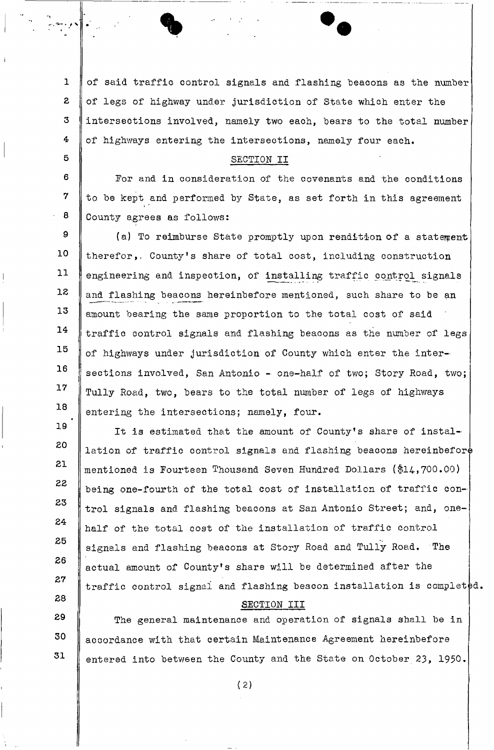1 3 **3 4**  of said traffic control signals and flashing beacons as the number of legs of highway under jurisdiction of State which enter the intersections involved, namely two each, bears to the total number of highways entering the intersections, namely four each.

#### SECTION II

I

\* *J* 

**5** 

EO

**31** 

**23** 

**33** 

**34** 

**35** 

**36** 

**37** 

**38** 

6 **7**  8 For and in consideration of the covenants and the conditions to be kept and performed by State, as set forth in this agreement County agrees as follows:

9 **10 11 13 13 14 15 16 17 18**  (a) To reimburse State promptly upon rendition of a statement therefor,. County's share of total cost, including construction engineering and inspection, of installing traffic control signals and flashing beacons hereinbefore mentioned, such share to be an amount bearing the same proportion to the total cost of said traffic control signals and flashing beacons as the number of legs of highways under jurisdiction of County which enter the intersections involved, San Antonio - one-half of two; Story Road, two; Tully Road, two, bears to the total number of legs of highways entering the intersections; namely, four.

**19**  It is estimated that the amount of County's share of installation of traffic control signals and flashing beacons hereinbefore mentioned is Fourteen Thousand Seven Hundred Dollars (\$14,700.00) being one-fourth of the total cost of installation of traffic control signals and flashing beacons at San Antonio Street; and, onehalf of the total cost of the installation of traffic control signals and flashing beacons at Story Road and Tully Road. The actual amount of County's share will be determined after the traffic control signal and flashing beacon installation is completed.

#### SECTION III

**39 30 31**  The general maintenance and operation of signals shall be in accordance with that certain Maintenance Agreement hereinbefore entered into between the County and the State on October 23, 1950.

**( 2)**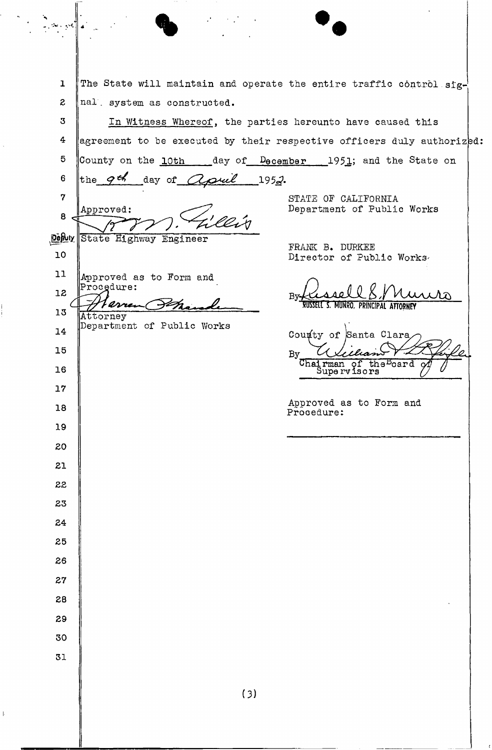The State will maintain and operate the entire traffic control  $\text{sig-}$ 1 *z*  nal . system as constructed. **3**  In Witness Whereof, the parties hereunto have caused this **4**  agreement to be executed by their respective officers duly authoriz ${\tt pd:}$ **5**  County on the 10th \_\_\_\_\_day of December \_\_\_\_ 1951; and the State on the  $9^{th}$  day of *apul* 1952. 6 **7**  STATE OF CALIFORNIA Department of Public Works Approved: 8 **DeButy** State Highway Engineer FRANK B. DURKEE **10**  Director of Public Works-**11**  Approved as to Form and Procedure: 13 By- $\mathscr{P}$ MUNRO, PRINCIPAL **13**  Attorney Department of Public Works **14**  County of Santa Clara **15**  Chairman of the board **16**  Supervisors **17**  Approved as to Form and **18**  Procedure: **19**  20 El 22 **23 24 25 26 27 28 29 30 31** 

 $\bullet$ 

**(3)**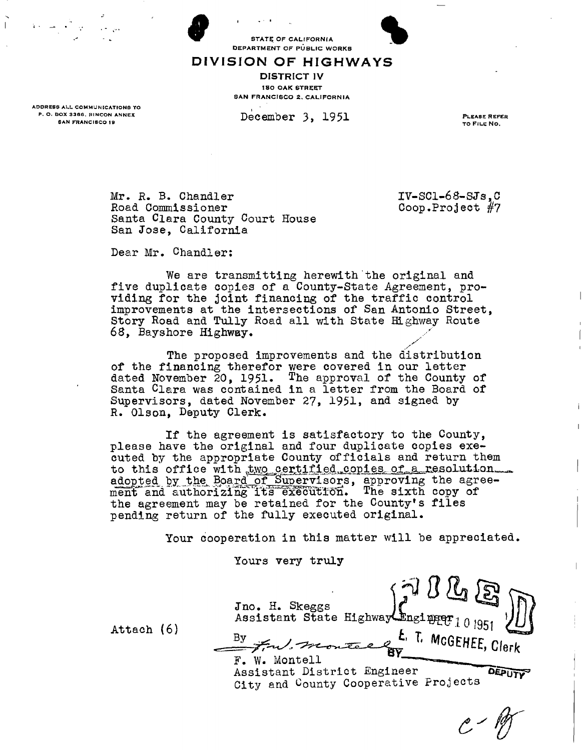**9 PRACTICAL PRODUCTS AND STATE OF CALIFORNIA** 

#### DIVISION OF HIGHWAYS

**DISTRICT IV I SO OAK STREET** SAN FRANCISCO 2, CALIFORNIA

ADDRESS ALL COMMUNICATIONS TO P. O. BOX 3366, RINCON ANNEX **SAN FRANCISCO 19** 

December 3, 1951 PLEASE REFER

TO FILE NO.

Mr. R. B. Chandler IV-SCl-68-SJs, C<br>Road Commissioner Coop.Project #7 Road Commissioner Santa Clara County Court House San Jose, California

Dear Mr. Chandler:

We are transmitting herewith the original and five duplicate copies of a County-State Agreement, providing for the joint financing of the traffic control improvements at the intersections of San Antonio Street, Story Road and Tully Road all with State Highway Route 68, Bayshore Highway.

The proposed improvements and the distribution of the financing therefor were covered in our letter dated November 20, 1951. The approval of the County of Santa Clara was contained in a letter from the Board of Supervisors, dated November 27, 1951, and signed by R. Olson, Deputy Clerk.

If the agreement is satisfactory to the County, please have the original and four duplicate copies executed by the appropriate County officials and return them to this office with two certified copies of a resolution. adopted by the Board of Supervisors, approving the agreement and authorizing its execution. The sixth copy of the agreement may be retained for the County\*s files pending return of the fully executed original.

Your cooperation in this matter will be appreciated.

Yours very truly

Jno. H. Skeggs  $\qquad \qquad \int f$ Assistant State Highway Enging  $r_{1,0}$  jors  $\mathcal{V}$ Attach (6) By <sup>L</sup> MCGEHEE, Clerk F. W. Montell ^^^^ ^ Assistant District Engineer OEPUTY City and County Cooperative Projects